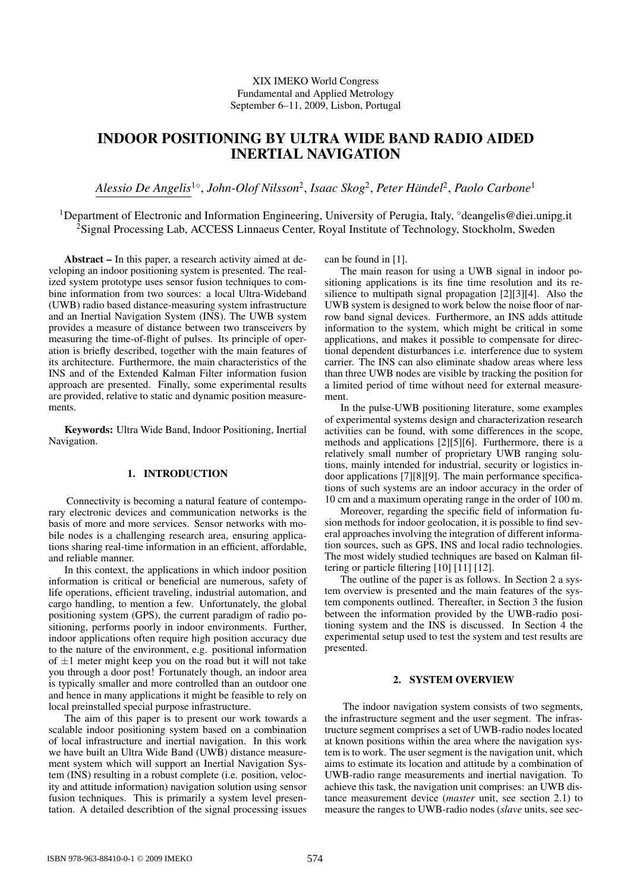# XIX IMEKO World Congress Fundamental and Applied Metrology September 6–11, 2009, Lisbon, Portugal

# **INDOOR POSITIONING BY ULTRA WIDE BAND RADIO AIDED INERTIAL NAVIGATION**

*Alessio De Angelis*<sup>1</sup><sup>⋄</sup> , *John-Olof Nilsson*<sup>2</sup> , *Isaac Skog*<sup>2</sup> , *Peter Handel ¨* 2 , *Paolo Carbone*<sup>1</sup>

<sup>1</sup>Department of Electronic and Information Engineering, University of Perugia, Italy, °deangelis@diei.unipg.it <sup>2</sup>Signal Processing Lab, ACCESS Linnaeus Center, Royal Institute of Technology, Stockholm, Sweden

**Abstract –** In this paper, a research activity aimed at developing an indoor positioning system is presented. The realized system prototype uses sensor fusion techniques to combine information from two sources: a local Ultra-Wideband (UWB) radio based distance-measuring system infrastructure and an Inertial Navigation System (INS). The UWB system provides a measure of distance between two transceivers by measuring the time-of-flight of pulses. Its principle of operation is briefly described, together with the main features of its architecture. Furthermore, the main characteristics of the INS and of the Extended Kalman Filter information fusion approach are presented. Finally, some experimental results are provided, relative to static and dynamic position measurements.

**Keywords:** Ultra Wide Band, Indoor Positioning, Inertial Navigation.

# **1. INTRODUCTION**

Connectivity is becoming a natural feature of contemporary electronic devices and communication networks is the basis of more and more services. Sensor networks with mobile nodes is a challenging research area, ensuring applications sharing real-time information in an efficient, affordable, and reliable manner.

In this context, the applications in which indoor position information is critical or beneficial are numerous, safety of life operations, efficient traveling, industrial automation, and cargo handling, to mention a few. Unfortunately, the global positioning system (GPS), the current paradigm of radio positioning, performs poorly in indoor environments. Further, indoor applications often require high position accuracy due to the nature of the environment, e.g. positional information of  $\pm 1$  meter might keep you on the road but it will not take you through a door post! Fortunately though, an indoor area is typically smaller and more controlled than an outdoor one and hence in many applications it might be feasible to rely on local preinstalled special purpose infrastructure.

The aim of this paper is to present our work towards a scalable indoor positioning system based on a combination of local infrastructure and inertial navigation. In this work we have built an Ultra Wide Band (UWB) distance measurement system which will support an Inertial Navigation System (INS) resulting in a robust complete (i.e. position, velocity and attitude information) navigation solution using sensor fusion techniques. This is primarily a system level presentation. A detailed describtion of the signal processing issues can be found in [1].

The main reason for using a UWB signal in indoor positioning applications is its fine time resolution and its resilience to multipath signal propagation [2][3][4]. Also the UWB system is designed to work below the noise floor of narrow band signal devices. Furthermore, an INS adds attitude information to the system, which might be critical in some applications, and makes it possible to compensate for directional dependent disturbances i.e. interference due to system carrier. The INS can also eliminate shadow areas where less than three UWB nodes are visible by tracking the position for a limited period of time without need for external measurement.

In the pulse-UWB positioning literature, some examples of experimental systems design and characterization research activities can be found, with some differences in the scope, methods and applications [2][5][6]. Furthermore, there is a relatively small number of proprietary UWB ranging solutions, mainly intended for industrial, security or logistics indoor applications [7][8][9]. The main performance specifications of such systems are an indoor accuracy in the order of 10 cm and a maximum operating range in the order of 100 m.

Moreover, regarding the specific field of information fusion methods for indoor geolocation, it is possible to find several approaches involving the integration of different information sources, such as GPS, INS and local radio technologies. The most widely studied techniques are based on Kalman filtering or particle filtering [10] [11] [12].

The outline of the paper is as follows. In Section 2 a system overview is presented and the main features of the system components outlined. Thereafter, in Section 3 the fusion between the information provided by the UWB-radio positioning system and the INS is discussed. In Section 4 the experimental setup used to test the system and test results are presented.

#### **2. SYSTEM OVERVIEW**

The indoor navigation system consists of two segments, the infrastructure segment and the user segment. The infrastructure segment comprises a set of UWB-radio nodes located at known positions within the area where the navigation system is to work. The user segment is the navigation unit, which aims to estimate its location and attitude by a combination of UWB-radio range measurements and inertial navigation. To achieve this task, the navigation unit comprises: an UWB distance measurement device (*master* unit, see section 2.1) to measure the ranges to UWB-radio nodes (*slave* units, see sec-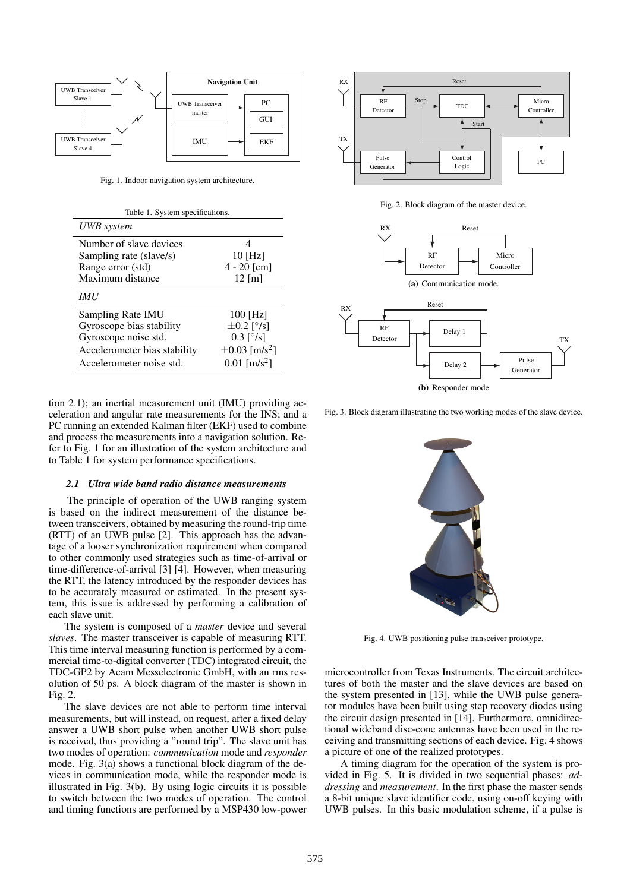

Fig. 1. Indoor navigation system architecture.

| Table 1. System specifications. |                                |
|---------------------------------|--------------------------------|
| UWB system                      |                                |
| Number of slave devices         |                                |
| Sampling rate (slave/s)         | $10$ [Hz]                      |
| Range error (std)               | $4 - 20$ [cm]                  |
| Maximum distance                | $12 \,[\mathrm{m}]$            |
| <b>IMU</b>                      |                                |
| Sampling Rate IMU               | 100 [Hz]                       |
| Gyroscope bias stability        | $\pm 0.2$ [ $\degree$ /s]      |
| Gyroscope noise std.            | $0.3 \,[\degree/s]$            |
| Accelerometer bias stability    | $\pm 0.03$ [m/s <sup>2</sup> ] |
| Accelerometer noise std.        | $0.01$ [m/s <sup>2</sup> ]     |

tion 2.1); an inertial measurement unit (IMU) providing acceleration and angular rate measurements for the INS; and a PC running an extended Kalman filter (EKF) used to combine and process the measurements into a navigation solution. Refer to Fig. 1 for an illustration of the system architecture and to Table 1 for system performance specifications.

# *2.1 Ultra wide band radio distance measurements*

The principle of operation of the UWB ranging system is based on the indirect measurement of the distance between transceivers, obtained by measuring the round-trip time (RTT) of an UWB pulse [2]. This approach has the advantage of a looser synchronization requirement when compared to other commonly used strategies such as time-of-arrival or time-difference-of-arrival [3] [4]. However, when measuring the RTT, the latency introduced by the responder devices has to be accurately measured or estimated. In the present system, this issue is addressed by performing a calibration of each slave unit.

The system is composed of a *master* device and several *slaves*. The master transceiver is capable of measuring RTT. This time interval measuring function is performed by a commercial time-to-digital converter (TDC) integrated circuit, the TDC-GP2 by Acam Messelectronic GmbH, with an rms resolution of 50 ps. A block diagram of the master is shown in Fig. 2.

The slave devices are not able to perform time interval measurements, but will instead, on request, after a fixed delay answer a UWB short pulse when another UWB short pulse is received, thus providing a "round trip". The slave unit has two modes of operation: *communication* mode and *responder* mode. Fig.  $3(a)$  shows a functional block diagram of the devices in communication mode, while the responder mode is illustrated in Fig. 3(b). By using logic circuits it is possible to switch between the two modes of operation. The control and timing functions are performed by a MSP430 low-power



Fig. 2. Block diagram of the master device.



**(b)** Responder mode

Fig. 3. Block diagram illustrating the two working modes of the slave device.



Fig. 4. UWB positioning pulse transceiver prototype.

microcontroller from Texas Instruments. The circuit architectures of both the master and the slave devices are based on the system presented in [13], while the UWB pulse generator modules have been built using step recovery diodes using the circuit design presented in [14]. Furthermore, omnidirectional wideband disc-cone antennas have been used in the receiving and transmitting sections of each device. Fig. 4 shows a picture of one of the realized prototypes.

A timing diagram for the operation of the system is provided in Fig. 5. It is divided in two sequential phases: *addressing* and *measurement*. In the first phase the master sends a 8-bit unique slave identifier code, using on-off keying with UWB pulses. In this basic modulation scheme, if a pulse is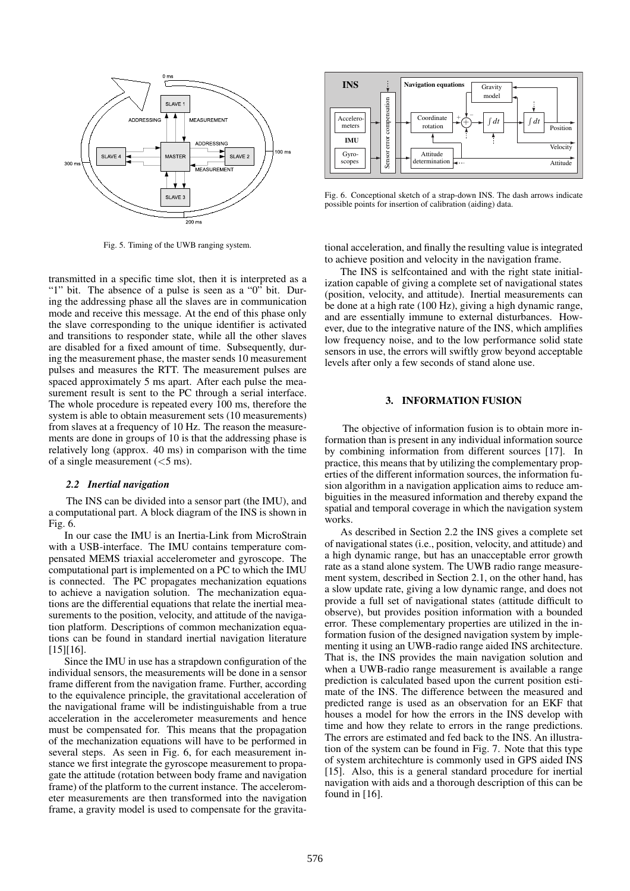

Fig. 5. Timing of the UWB ranging system.

transmitted in a specific time slot, then it is interpreted as a "1" bit. The absence of a pulse is seen as a "0" bit. During the addressing phase all the slaves are in communication mode and receive this message. At the end of this phase only the slave corresponding to the unique identifier is activated and transitions to responder state, while all the other slaves are disabled for a fixed amount of time. Subsequently, during the measurement phase, the master sends 10 measurement pulses and measures the RTT. The measurement pulses are spaced approximately 5 ms apart. After each pulse the measurement result is sent to the PC through a serial interface. The whole procedure is repeated every 100 ms, therefore the system is able to obtain measurement sets (10 measurements) from slaves at a frequency of 10 Hz. The reason the measurements are done in groups of 10 is that the addressing phase is relatively long (approx. 40 ms) in comparison with the time of a single measurement  $(<5$  ms).

## *2.2 Inertial navigation*

The INS can be divided into a sensor part (the IMU), and a computational part. A block diagram of the INS is shown in Fig. 6.

In our case the IMU is an Inertia-Link from MicroStrain with a USB-interface. The IMU contains temperature compensated MEMS triaxial accelerometer and gyroscope. The computational part is implemented on a PC to which the IMU is connected. The PC propagates mechanization equations to achieve a navigation solution. The mechanization equations are the differential equations that relate the inertial measurements to the position, velocity, and attitude of the navigation platform. Descriptions of common mechanization equations can be found in standard inertial navigation literature  $[15][16]$ .

Since the IMU in use has a strapdown configuration of the individual sensors, the measurements will be done in a sensor frame different from the navigation frame. Further, according to the equivalence principle, the gravitational acceleration of the navigational frame will be indistinguishable from a true acceleration in the accelerometer measurements and hence must be compensated for. This means that the propagation of the mechanization equations will have to be performed in several steps. As seen in Fig. 6, for each measurement instance we first integrate the gyroscope measurement to propagate the attitude (rotation between body frame and navigation frame) of the platform to the current instance. The accelerometer measurements are then transformed into the navigation frame, a gravity model is used to compensate for the gravita-



Fig. 6. Conceptional sketch of a strap-down INS. The dash arrows indicate possible points for insertion of calibration (aiding) data.

tional acceleration, and finally the resulting value is integrated to achieve position and velocity in the navigation frame.

The INS is selfcontained and with the right state initialization capable of giving a complete set of navigational states (position, velocity, and attitude). Inertial measurements can be done at a high rate (100 Hz), giving a high dynamic range, and are essentially immune to external disturbances. However, due to the integrative nature of the INS, which amplifies low frequency noise, and to the low performance solid state sensors in use, the errors will swiftly grow beyond acceptable levels after only a few seconds of stand alone use.

# **3. INFORMATION FUSION**

The objective of information fusion is to obtain more information than is present in any individual information source by combining information from different sources [17]. In practice, this means that by utilizing the complementary properties of the different information sources, the information fusion algorithm in a navigation application aims to reduce ambiguities in the measured information and thereby expand the spatial and temporal coverage in which the navigation system works.

As described in Section 2.2 the INS gives a complete set of navigational states (i.e., position, velocity, and attitude) and a high dynamic range, but has an unacceptable error growth rate as a stand alone system. The UWB radio range measurement system, described in Section 2.1, on the other hand, has a slow update rate, giving a low dynamic range, and does not provide a full set of navigational states (attitude difficult to observe), but provides position information with a bounded error. These complementary properties are utilized in the information fusion of the designed navigation system by implementing it using an UWB-radio range aided INS architecture. That is, the INS provides the main navigation solution and when a UWB-radio range measurement is available a range prediction is calculated based upon the current position estimate of the INS. The difference between the measured and predicted range is used as an observation for an EKF that houses a model for how the errors in the INS develop with time and how they relate to errors in the range predictions. The errors are estimated and fed back to the INS. An illustration of the system can be found in Fig. 7. Note that this type of system architechture is commonly used in GPS aided INS [15]. Also, this is a general standard procedure for inertial navigation with aids and a thorough description of this can be found in  $[16]$ .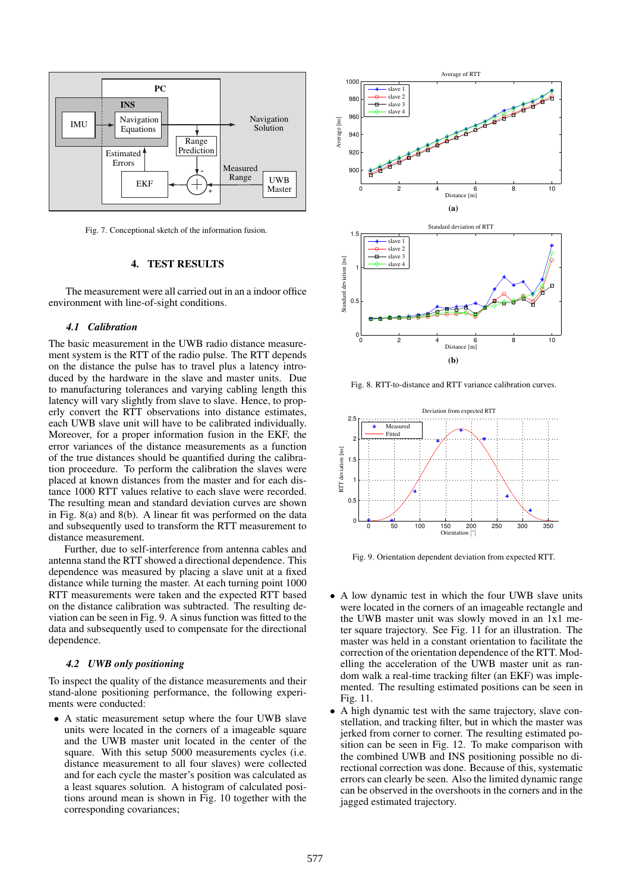

Fig. 7. Conceptional sketch of the information fusion.

# **4. TEST RESULTS**

The measurement were all carried out in an a indoor office environment with line-of-sight conditions.

## *4.1 Calibration*

The basic measurement in the UWB radio distance measurement system is the RTT of the radio pulse. The RTT depends on the distance the pulse has to travel plus a latency introduced by the hardware in the slave and master units. Due to manufacturing tolerances and varying cabling length this latency will vary slightly from slave to slave. Hence, to properly convert the RTT observations into distance estimates, each UWB slave unit will have to be calibrated individually. Moreover, for a proper information fusion in the EKF, the error variances of the distance measurements as a function of the true distances should be quantified during the calibration proceedure. To perform the calibration the slaves were placed at known distances from the master and for each distance 1000 RTT values relative to each slave were recorded. The resulting mean and standard deviation curves are shown in Fig. 8(a) and 8(b). A linear fit was performed on the data and subsequently used to transform the RTT measurement to distance measurement.

Further, due to self-interference from antenna cables and antenna stand the RTT showed a directional dependence. This dependence was measured by placing a slave unit at a fixed distance while turning the master. At each turning point 1000 RTT measurements were taken and the expected RTT based on the distance calibration was subtracted. The resulting deviation can be seen in Fig. 9. A sinus function was fitted to the data and subsequently used to compensate for the directional dependence.

## *4.2 UWB only positioning*

To inspect the quality of the distance measurements and their stand-alone positioning performance, the following experiments were conducted:

• A static measurement setup where the four UWB slave units were located in the corners of a imageable square and the UWB master unit located in the center of the square. With this setup 5000 measurements cycles (i.e. distance measurement to all four slaves) were collected and for each cycle the master's position was calculated as a least squares solution. A histogram of calculated positions around mean is shown in Fig. 10 together with the corresponding covariances;



Fig. 8. RTT-to-distance and RTT variance calibration curves.



Fig. 9. Orientation dependent deviation from expected RTT.

- A low dynamic test in which the four UWB slave units were located in the corners of an imageable rectangle and the UWB master unit was slowly moved in an 1x1 meter square trajectory. See Fig. 11 for an illustration. The master was held in a constant orientation to facilitate the correction of the orientation dependence of the RTT. Modelling the acceleration of the UWB master unit as random walk a real-time tracking filter (an EKF) was implemented. The resulting estimated positions can be seen in Fig. 11.
- A high dynamic test with the same trajectory, slave constellation, and tracking filter, but in which the master was jerked from corner to corner. The resulting estimated position can be seen in Fig. 12. To make comparison with the combined UWB and INS positioning possible no directional correction was done. Because of this, systematic errors can clearly be seen. Also the limited dynamic range can be observed in the overshoots in the corners and in the jagged estimated trajectory.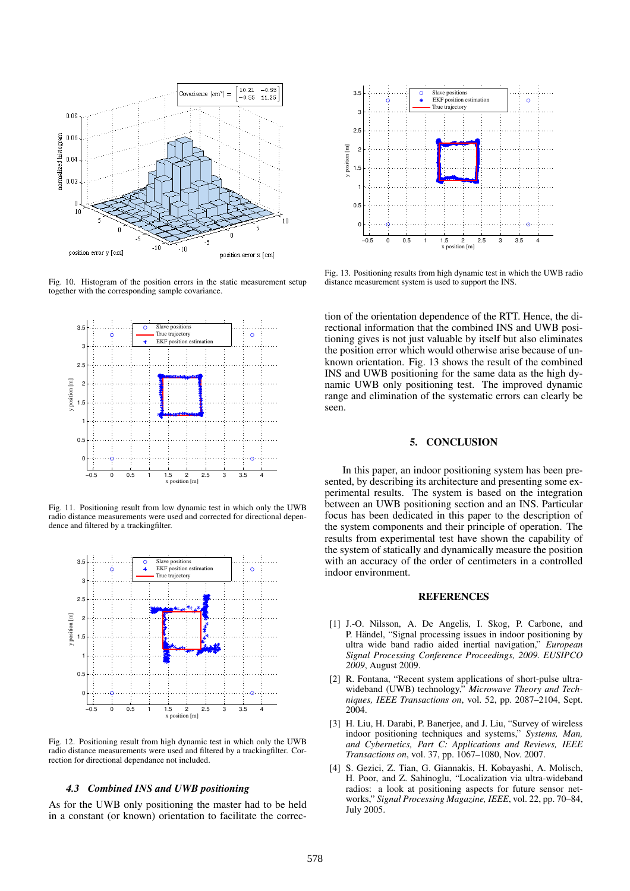

Fig. 10. Histogram of the position errors in the static measurement setup together with the corresponding sample covariance.



Fig. 11. Positioning result from low dynamic test in which only the UWB radio distance measurements were used and corrected for directional dependence and filtered by a trackingfilter.



Fig. 12. Positioning result from high dynamic test in which only the UWB radio distance measurements were used and filtered by a trackingfilter. Correction for directional dependance not included.

#### *4.3 Combined INS and UWB positioning*

As for the UWB only positioning the master had to be held in a constant (or known) orientation to facilitate the correc-



Fig. 13. Positioning results from high dynamic test in which the UWB radio distance measurement system is used to support the INS.

tion of the orientation dependence of the RTT. Hence, the directional information that the combined INS and UWB positioning gives is not just valuable by itself but also eliminates the position error which would otherwise arise because of unknown orientation. Fig. 13 shows the result of the combined INS and UWB positioning for the same data as the high dynamic UWB only positioning test. The improved dynamic range and elimination of the systematic errors can clearly be seen.

### **5. CONCLUSION**

In this paper, an indoor positioning system has been presented, by describing its architecture and presenting some experimental results. The system is based on the integration between an UWB positioning section and an INS. Particular focus has been dedicated in this paper to the description of the system components and their principle of operation. The results from experimental test have shown the capability of the system of statically and dynamically measure the position with an accuracy of the order of centimeters in a controlled indoor environment.

# **REFERENCES**

- [1] J.-O. Nilsson, A. De Angelis, I. Skog, P. Carbone, and P. Händel, "Signal processing issues in indoor positioning by ultra wide band radio aided inertial navigation," *European Signal Processing Conference Proceedings, 2009. EUSIPCO 2009*, August 2009.
- [2] R. Fontana, "Recent system applications of short-pulse ultrawideband (UWB) technology," *Microwave Theory and Techniques, IEEE Transactions on*, vol. 52, pp. 2087–2104, Sept. 2004.
- [3] H. Liu, H. Darabi, P. Banerjee, and J. Liu, "Survey of wireless indoor positioning techniques and systems," *Systems, Man, and Cybernetics, Part C: Applications and Reviews, IEEE Transactions on*, vol. 37, pp. 1067–1080, Nov. 2007.
- [4] S. Gezici, Z. Tian, G. Giannakis, H. Kobayashi, A. Molisch, H. Poor, and Z. Sahinoglu, "Localization via ultra-wideband radios: a look at positioning aspects for future sensor networks," *Signal Processing Magazine, IEEE*, vol. 22, pp. 70–84, July 2005.